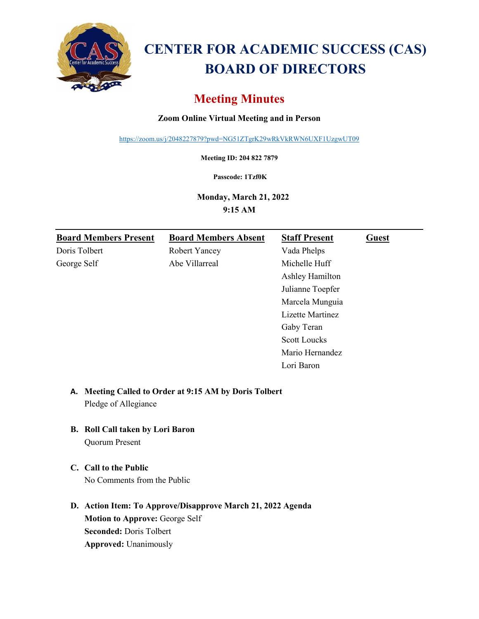

# **CENTER FOR ACADEMIC SUCCESS (CAS) BOARD OF DIRECTORS**

# **Meeting Minutes**

## **Zoom Online Virtual Meeting and in Person**

<https://zoom.us/j/2048227879?pwd=NG51ZTgrK29wRkVkRWN6UXF1UzgwUT09>

**Meeting ID: 204 822 7879**

**Passcode: 1Tzf0K**

**Monday, March 21, 2022** 

**9:15 AM** 

| <b>Board Members Present</b> | <b>Board Members Absent</b> | <b>Staff Present</b> | <b>Guest</b> |
|------------------------------|-----------------------------|----------------------|--------------|
| Doris Tolbert                | <b>Robert Yancey</b>        | Vada Phelps          |              |
| George Self                  | Abe Villarreal              | Michelle Huff        |              |
|                              |                             | Ashley Hamilton      |              |
|                              |                             | Julianne Toepfer     |              |
|                              |                             | Marcela Munguia      |              |
|                              |                             | Lizette Martinez     |              |
|                              |                             | Gaby Teran           |              |
|                              |                             | <b>Scott Loucks</b>  |              |
|                              |                             | Mario Hernandez      |              |
|                              |                             | Lori Baron           |              |

# **A. Meeting Called to Order at 9:15 AM by Doris Tolbert** Pledge of Allegiance

- **B. Roll Call taken by Lori Baron**  Quorum Present
- **C. Call to the Public**  No Comments from the Public
- **D. Action Item: To Approve/Disapprove March 21, 2022 Agenda Motion to Approve:** George Self **Seconded:** Doris Tolbert **Approved:** Unanimously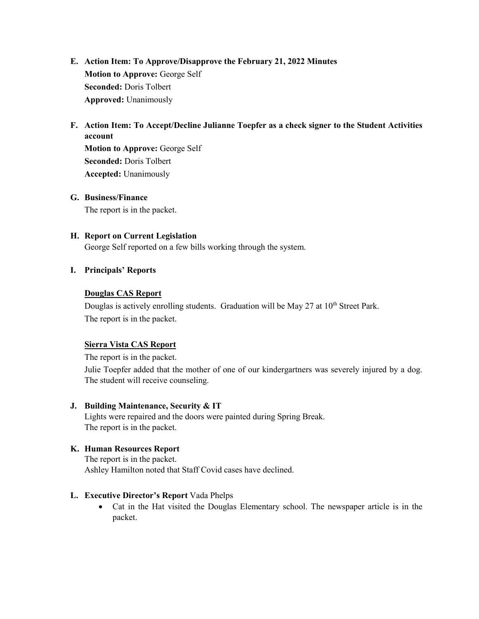- **E. Action Item: To Approve/Disapprove the February 21, 2022 Minutes Motion to Approve:** George Self **Seconded:** Doris Tolbert **Approved:** Unanimously
- **F. Action Item: To Accept/Decline Julianne Toepfer as a check signer to the Student Activities account**

**Motion to Approve:** George Self **Seconded:** Doris Tolbert **Accepted:** Unanimously

#### **G. Business/Finance**

The report is in the packet.

#### **H. Report on Current Legislation**

George Self reported on a few bills working through the system.

#### **I. Principals' Reports**

#### **Douglas CAS Report**

Douglas is actively enrolling students. Graduation will be May 27 at 10<sup>th</sup> Street Park. The report is in the packet.

#### **Sierra Vista CAS Report**

The report is in the packet.

Julie Toepfer added that the mother of one of our kindergartners was severely injured by a dog. The student will receive counseling.

#### **J. Building Maintenance, Security & IT**

Lights were repaired and the doors were painted during Spring Break. The report is in the packet.

#### **K. Human Resources Report**

The report is in the packet. Ashley Hamilton noted that Staff Covid cases have declined.

#### **L. Executive Director's Report** Vada Phelps

• Cat in the Hat visited the Douglas Elementary school. The newspaper article is in the packet.